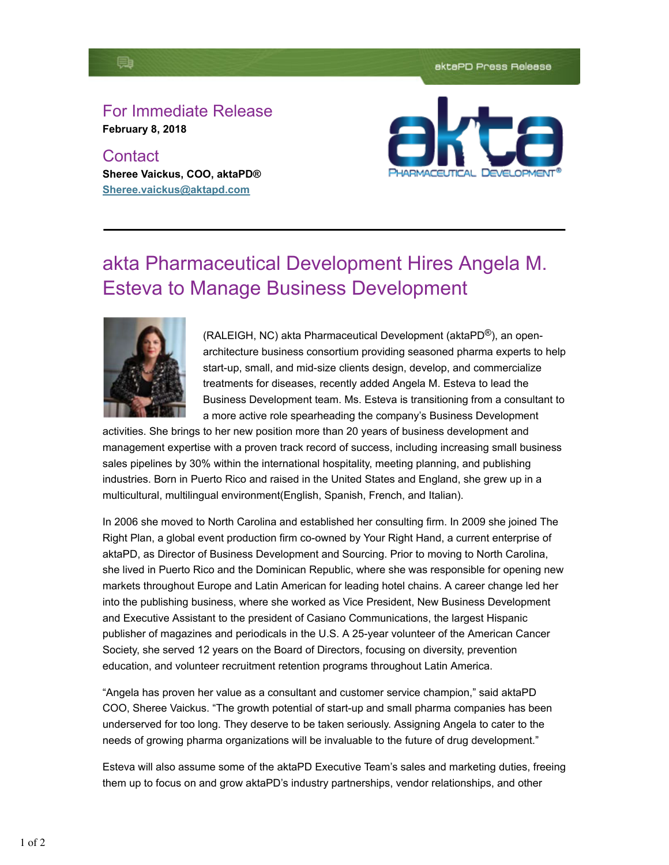## B

## For Immediate Release **February 8, 2018**

**Contact Sheree Vaickus, COO, aktaPD® Sheree.vaickus@aktapd.com**



## akta Pharmaceutical Development Hires Angela M. Esteva to Manage Business Development



(RALEIGH, NC) akta Pharmaceutical Development (aktaPD®), an openarchitecture business consortium providing seasoned pharma experts to help start-up, small, and mid-size clients design, develop, and commercialize treatments for diseases, recently added Angela M. Esteva to lead the Business Development team. Ms. Esteva is transitioning from a consultant to a more active role spearheading the company's Business Development

activities. She brings to her new position more than 20 years of business development and management expertise with a proven track record of success, including increasing small business sales pipelines by 30% within the international hospitality, meeting planning, and publishing industries. Born in Puerto Rico and raised in the United States and England, she grew up in a multicultural, multilingual environment(English, Spanish, French, and Italian).

In 2006 she moved to North Carolina and established her consulting firm. In 2009 she joined The Right Plan, a global event production firm co-owned by Your Right Hand, a current enterprise of aktaPD, as Director of Business Development and Sourcing. Prior to moving to North Carolina, she lived in Puerto Rico and the Dominican Republic, where she was responsible for opening new markets throughout Europe and Latin American for leading hotel chains. A career change led her into the publishing business, where she worked as Vice President, New Business Development and Executive Assistant to the president of Casiano Communications, the largest Hispanic publisher of magazines and periodicals in the U.S. A 25-year volunteer of the American Cancer Society, she served 12 years on the Board of Directors, focusing on diversity, prevention education, and volunteer recruitment retention programs throughout Latin America.

"Angela has proven her value as a consultant and customer service champion," said aktaPD COO, Sheree Vaickus. "The growth potential of start-up and small pharma companies has been underserved for too long. They deserve to be taken seriously. Assigning Angela to cater to the needs of growing pharma organizations will be invaluable to the future of drug development."

Esteva will also assume some of the aktaPD Executive Team's sales and marketing duties, freeing them up to focus on and grow aktaPD's industry partnerships, vendor relationships, and other